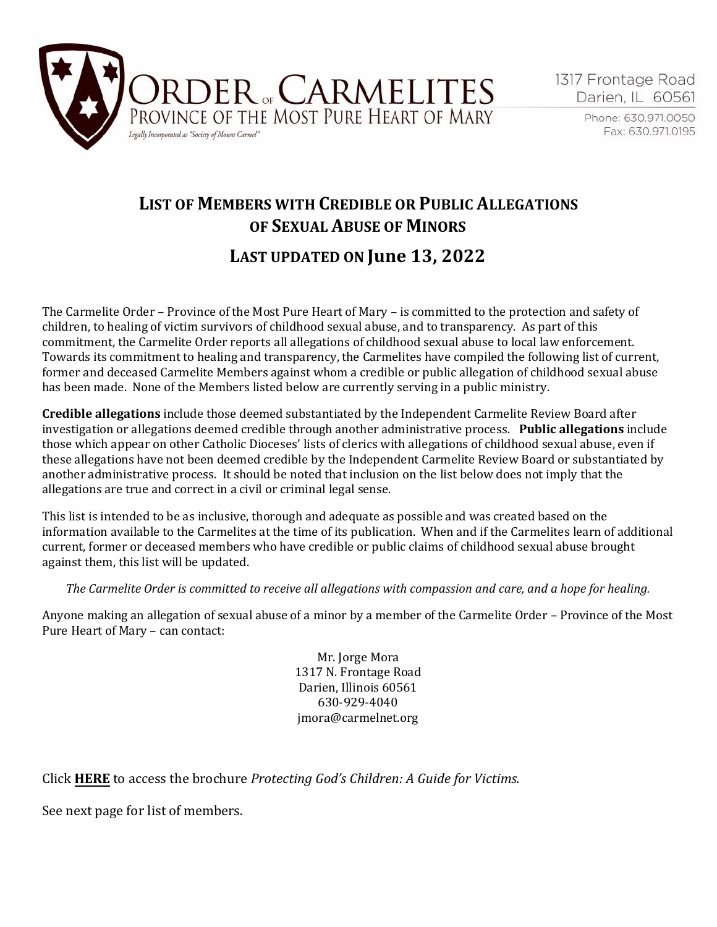

Phone: 630.971.0050 Fax: 630.971.0195

## **LIST OF MEMBERS WITH CREDIBLE OR PUBLIC ALLEGATIONS OF SEXUAL ABUSE OF MINORS**

## **LAST UPDATED ON June 13, 2022**

The Carmelite Order – Province of the Most Pure Heart of Mary – is committed to the protection and safety of children, to healing of victim survivors of childhood sexual abuse, and to transparency. As part of this commitment, the Carmelite Order reports all allegations of childhood sexual abuse to local law enforcement. Towards its commitment to healing and transparency, the Carmelites have compiled the following list of current, former and deceased Carmelite Members against whom a credible or public allegation of childhood sexual abuse has been made. None of the Members listed below are currently serving in a public ministry.

**Credible allegations** include those deemed substantiated by the Independent Carmelite Review Board after investigation or allegations deemed credible through another administrative process. **Public allegations** include those which appear on other Catholic Dioceses' lists of clerics with allegations of childhood sexual abuse, even if these allegations have not been deemed credible by the Independent Carmelite Review Board or substantiated by another administrative process. It should be noted that inclusion on the list below does not imply that the allegations are true and correct in a civil or criminal legal sense.

This list is intended to be as inclusive, thorough and adequate as possible and was created based on the information available to the Carmelites at the time of its publication. When and if the Carmelites learn of additional current, former or deceased members who have credible or public claims of childhood sexual abuse brought against them, this list will be updated.

*The Carmelite Order is committed to receive all allegations with compassion and care, and a hope for healing.* 

Anyone making an allegation of sexual abuse of a minor by a member of the Carmelite Order – Province of the Most Pure Heart of Mary – can contact:

> Mr. Jorge Mora 1317 N. Frontage Road Darien, Illinois 60561 630-929-4040 jmora@carmelnet.org

Click **[HERE](#page-35-0)** to access the brochure *Protecting God's Children: A Guide for Victims.* 

See next page for list of members.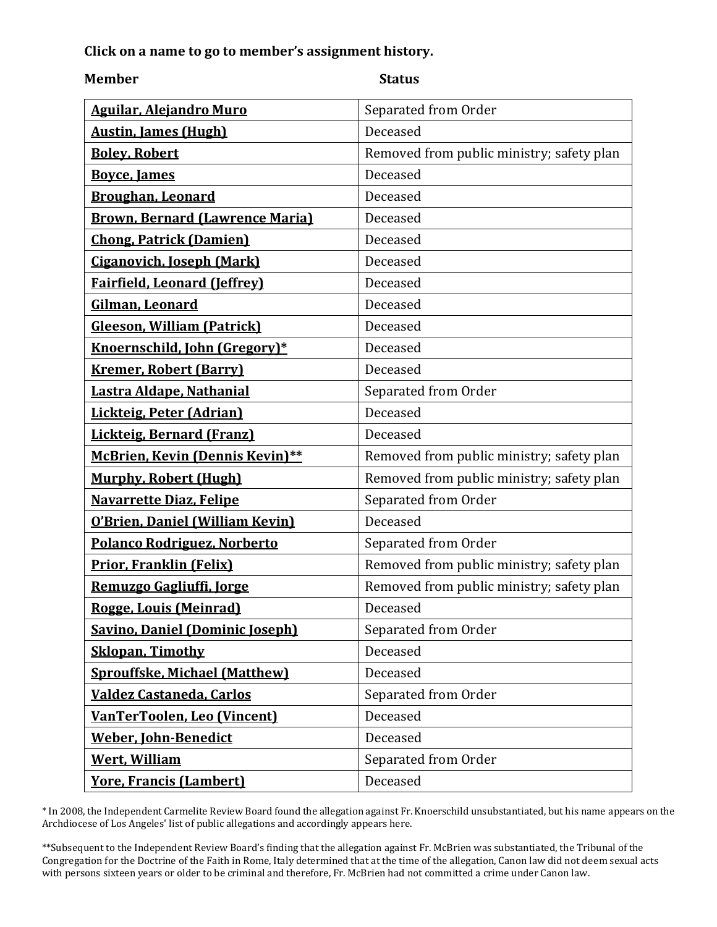## <span id="page-1-0"></span>**Click on a name to go to member's assignment history.**

### **Member Status**

| <b>Aguilar, Alejandro Muro</b>         | Separated from Order                      |
|----------------------------------------|-------------------------------------------|
| <b>Austin, James (Hugh)</b>            | Deceased                                  |
| <b>Boley, Robert</b>                   | Removed from public ministry; safety plan |
| <b>Bovce, James</b>                    | Deceased                                  |
| <b>Broughan, Leonard</b>               | Deceased                                  |
| <b>Brown, Bernard (Lawrence Maria)</b> | Deceased                                  |
| <b>Chong, Patrick (Damien)</b>         | Deceased                                  |
| <b>Ciganovich, Joseph (Mark)</b>       | Deceased                                  |
| <b>Fairfield, Leonard (Jeffrey)</b>    | Deceased                                  |
| Gilman, Leonard                        | Deceased                                  |
| <b>Gleeson, William (Patrick)</b>      | Deceased                                  |
| Knoernschild, John (Gregory)*          | Deceased                                  |
| <b>Kremer, Robert (Barry)</b>          | Deceased                                  |
| Lastra Aldape, Nathanial               | Separated from Order                      |
| Lickteig, Peter (Adrian)               | Deceased                                  |
| Lickteig, Bernard (Franz)              | Deceased                                  |
| <b>McBrien, Kevin (Dennis Kevin)**</b> | Removed from public ministry; safety plan |
| <b>Murphy, Robert (Hugh)</b>           | Removed from public ministry; safety plan |
| <b>Navarrette Diaz, Felipe</b>         | Separated from Order                      |
| O'Brien, Daniel (William Kevin)        | Deceased                                  |
| Polanco Rodriguez, Norberto            | Separated from Order                      |
| <b>Prior, Franklin (Felix)</b>         | Removed from public ministry; safety plan |
| Remuzgo Gagliuffi, Jorge               | Removed from public ministry; safety plan |
| Rogge, Louis (Meinrad)                 | Deceased                                  |
| <b>Savino, Daniel (Dominic Joseph)</b> | Separated from Order                      |
| <b>Sklopan, Timothy</b>                | Deceased                                  |
| <b>Sprouffske, Michael (Matthew)</b>   | Deceased                                  |
| Valdez Castaneda, Carlos               | Separated from Order                      |
| VanTerToolen, Leo (Vincent)            | Deceased                                  |
| <b>Weber, John-Benedict</b>            | Deceased                                  |
| <b>Wert, William</b>                   | Separated from Order                      |
| <b>Yore, Francis (Lambert)</b>         | Deceased                                  |

\* In 2008, the Independent Carmelite Review Board found the allegation against Fr. Knoerschild unsubstantiated, but his name appears on the Archdiocese of Los Angeles' list of public allegations and accordingly appears here.

\*\*Subsequent to the Independent Review Board's finding that the allegation against Fr. McBrien was substantiated, the Tribunal of the Congregation for the Doctrine of the Faith in Rome, Italy determined that at the time of the allegation, Canon law did not deem sexual acts with persons sixteen years or older to be criminal and therefore, Fr. McBrien had not committed a crime under Canon law.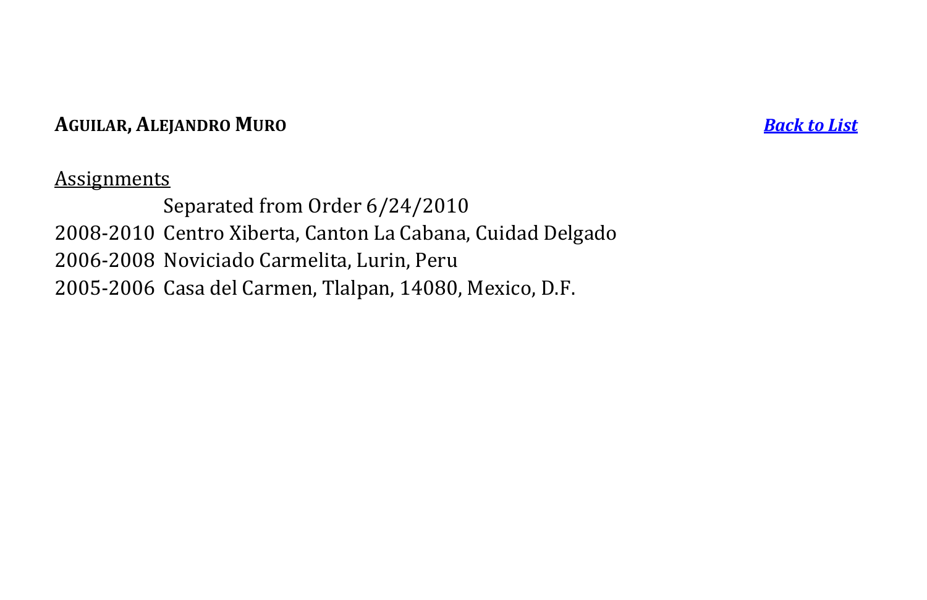## **AGUILAR, ALEJANDRO MURO** *[Back to List](#page-1-0)*

## **Assignments**

<span id="page-2-0"></span>Separated from Order 6/24/2010 2008-2010 Centro Xiberta, Canton La Cabana, Cuidad Delgado 2006-2008 Noviciado Carmelita, Lurin, Peru 2005-2006 Casa del Carmen, Tlalpan, 14080, Mexico, D.F.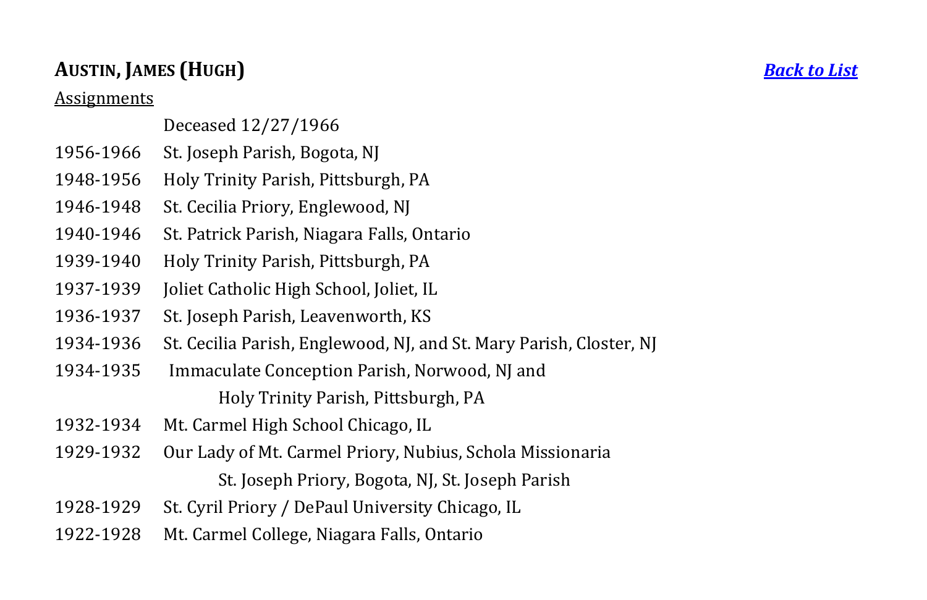## **AUSTIN, JAMES (HUGH)** *[Back to List](#page-1-0)*

Assignments

## Deceased 12/27/1966

- 1956-1966 St. Joseph Parish, Bogota, NJ
- 1948-1956 Holy Trinity Parish, Pittsburgh, PA
- 1946-1948 St. Cecilia Priory, Englewood, NJ
- 1940-1946 St. Patrick Parish, Niagara Falls, Ontario
- 1939-1940 Holy Trinity Parish, Pittsburgh, PA
- 1937-1939 Joliet Catholic High School, Joliet, IL
- 1936-1937 St. Joseph Parish, Leavenworth, KS
- 1934-1936 St. Cecilia Parish, Englewood, NJ, and St. Mary Parish, Closter, NJ
- 1934-1935 Immaculate Conception Parish, Norwood, NJ and Holy Trinity Parish, Pittsburgh, PA
- 1932-1934 Mt. Carmel High School Chicago, IL
- 1929-1932 Our Lady of Mt. Carmel Priory, Nubius, Schola Missionaria St. Joseph Priory, Bogota, NJ, St. Joseph Parish
- 1928-1929 St. Cyril Priory / DePaul University Chicago, IL
- <span id="page-3-0"></span>1922-1928 Mt. Carmel College, Niagara Falls, Ontario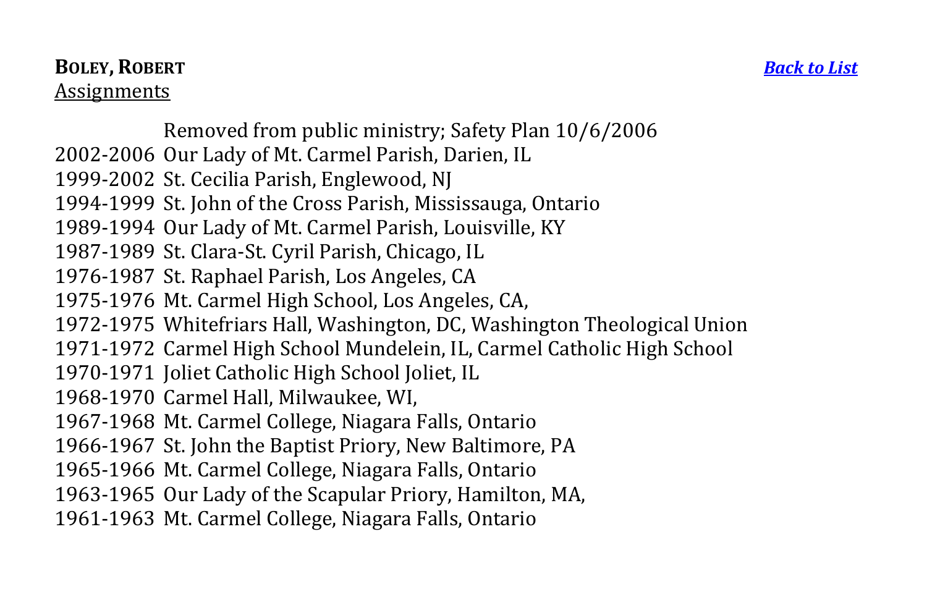## **BOLEY, ROBERT** *[Back to List](#page-1-0)* **Assignments**

Removed from public ministry; Safety Plan 10/6/2006

- 2002-2006 Our Lady of Mt. Carmel Parish, Darien, IL
- 1999-2002 St. Cecilia Parish, Englewood, NJ
- 1994-1999 St. John of the Cross Parish, Mississauga, Ontario
- 1989-1994 Our Lady of Mt. Carmel Parish, Louisville, KY
- 1987-1989 St. Clara-St. Cyril Parish, Chicago, IL
- 1976-1987 St. Raphael Parish, Los Angeles, CA
- 1975-1976 Mt. Carmel High School, Los Angeles, CA,
- 1972-1975 Whitefriars Hall, Washington, DC, Washington Theological Union
- 1971-1972 Carmel High School Mundelein, IL, Carmel Catholic High School
- 1970-1971 Joliet Catholic High School Joliet, IL
- 1968-1970 Carmel Hall, Milwaukee, WI,
- 1967-1968 Mt. Carmel College, Niagara Falls, Ontario
- 1966-1967 St. John the Baptist Priory, New Baltimore, PA
- 1965-1966 Mt. Carmel College, Niagara Falls, Ontario
- 1963-1965 Our Lady of the Scapular Priory, Hamilton, MA,
- <span id="page-4-0"></span>1961-1963 Mt. Carmel College, Niagara Falls, Ontario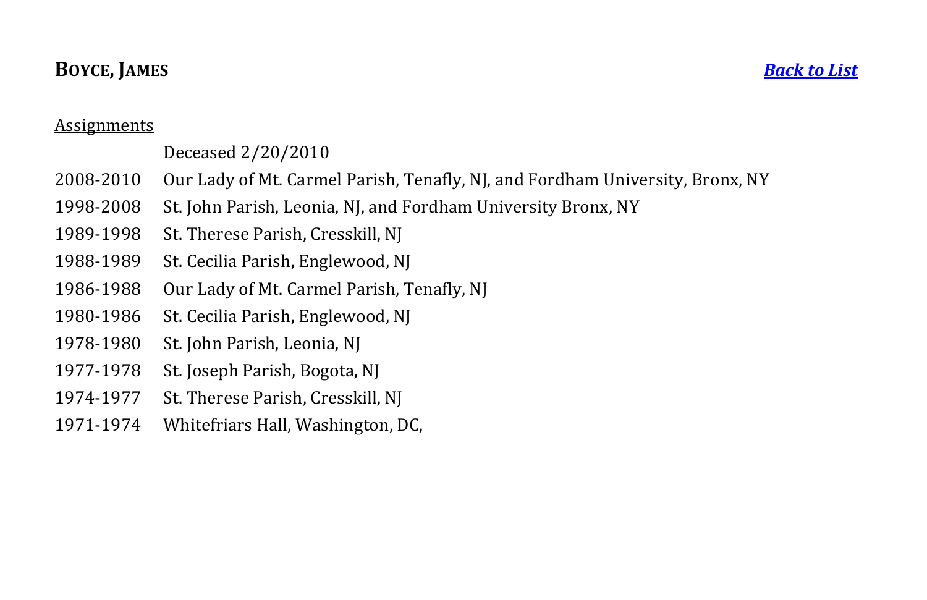## **BOYCE, JAMES** *[Back to List](#page-1-0)*

### Assignments

## Deceased 2/20/2010

- 2008-2010 Our Lady of Mt. Carmel Parish, Tenafly, NJ, and Fordham University, Bronx, NY
- 1998-2008 St. John Parish, Leonia, NJ, and Fordham University Bronx, NY
- 1989-1998 St. Therese Parish, Cresskill, NJ
- 1988-1989 St. Cecilia Parish, Englewood, NJ
- 1986-1988 Our Lady of Mt. Carmel Parish, Tenafly, NJ
- 1980-1986 St. Cecilia Parish, Englewood, NJ
- 1978-1980 St. John Parish, Leonia, NJ
- 1977-1978 St. Joseph Parish, Bogota, NJ
- 1974-1977 St. Therese Parish, Cresskill, NJ
- <span id="page-5-0"></span>1971-1974 Whitefriars Hall, Washington, DC,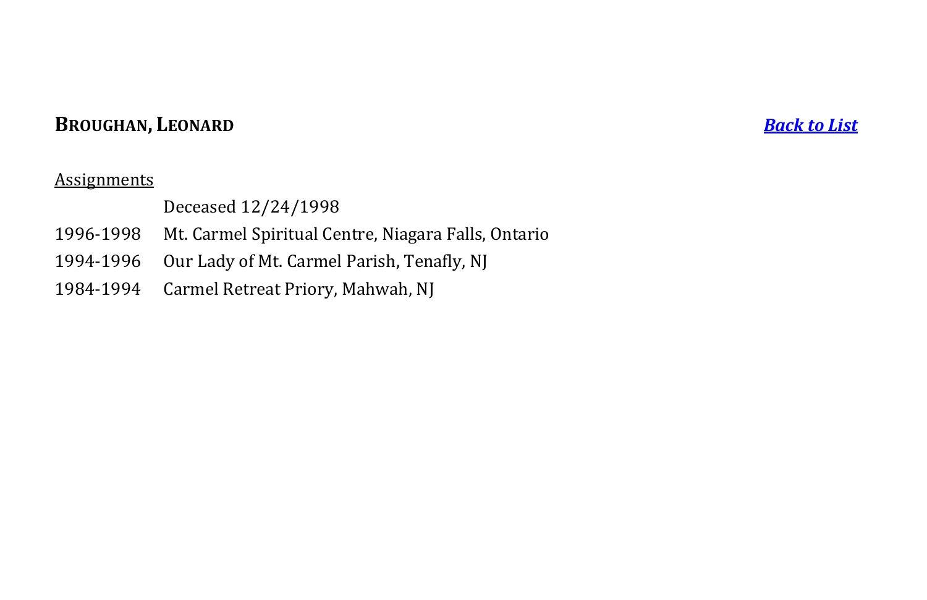## **BROUGHAN, LEONARD** *[Back to List](#page-1-0)*

#### **Assignments**

### Deceased 12/24/1998

- 1996-1998 Mt. Carmel Spiritual Centre, Niagara Falls, Ontario
- 1994-1996 Our Lady of Mt. Carmel Parish, Tenafly, NJ
- <span id="page-6-0"></span>1984-1994 Carmel Retreat Priory, Mahwah, NJ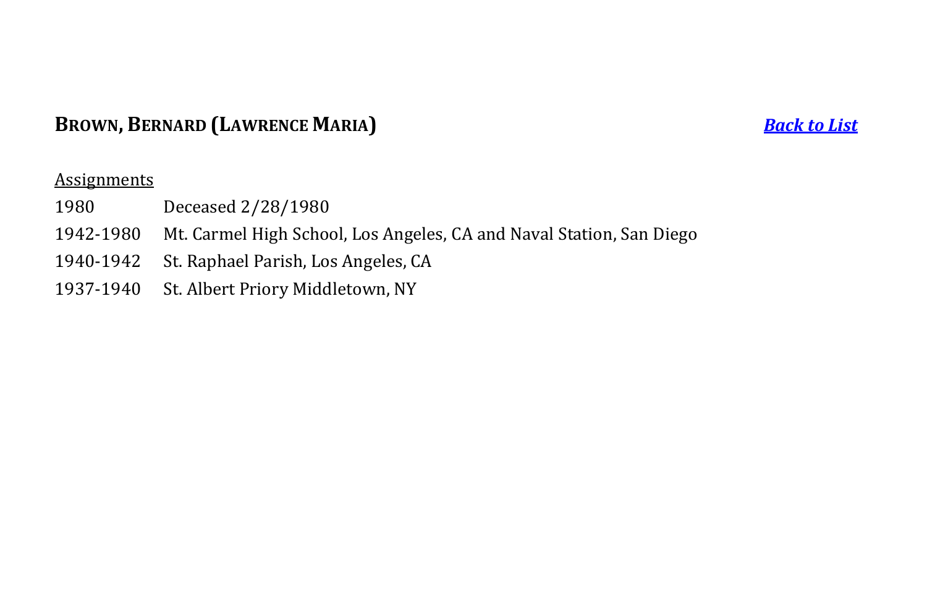## **BROWN, BERNARD (LAWRENCE MARIA)** *[Back to List](#page-1-0)*

- 1980 Deceased 2/28/1980
- 1942-1980 Mt. Carmel High School, Los Angeles, CA and Naval Station, San Diego
- 1940-1942 St. Raphael Parish, Los Angeles, CA
- <span id="page-7-1"></span><span id="page-7-0"></span>1937-1940 St. Albert Priory Middletown, NY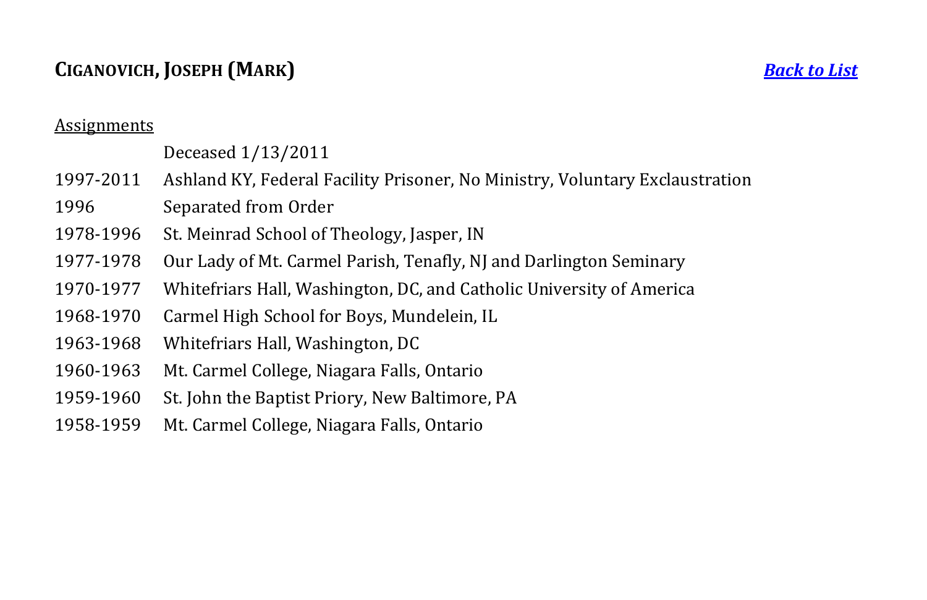## **CIGANOVICH, JOSEPH (MARK)** *[Back to List](#page-1-0)*

#### Assignments

## Deceased 1/13/2011

- 1997-2011 Ashland KY, Federal Facility Prisoner, No Ministry, Voluntary Exclaustration
- 1996 Separated from Order
- 1978-1996 St. Meinrad School of Theology, Jasper, IN
- 1977-1978 Our Lady of Mt. Carmel Parish, Tenafly, NJ and Darlington Seminary
- 1970-1977 Whitefriars Hall, Washington, DC, and Catholic University of America
- 1968-1970 Carmel High School for Boys, Mundelein, IL
- 1963-1968 Whitefriars Hall, Washington, DC
- 1960-1963 Mt. Carmel College, Niagara Falls, Ontario
- 1959-1960 St. John the Baptist Priory, New Baltimore, PA
- 1958-1959 Mt. Carmel College, Niagara Falls, Ontario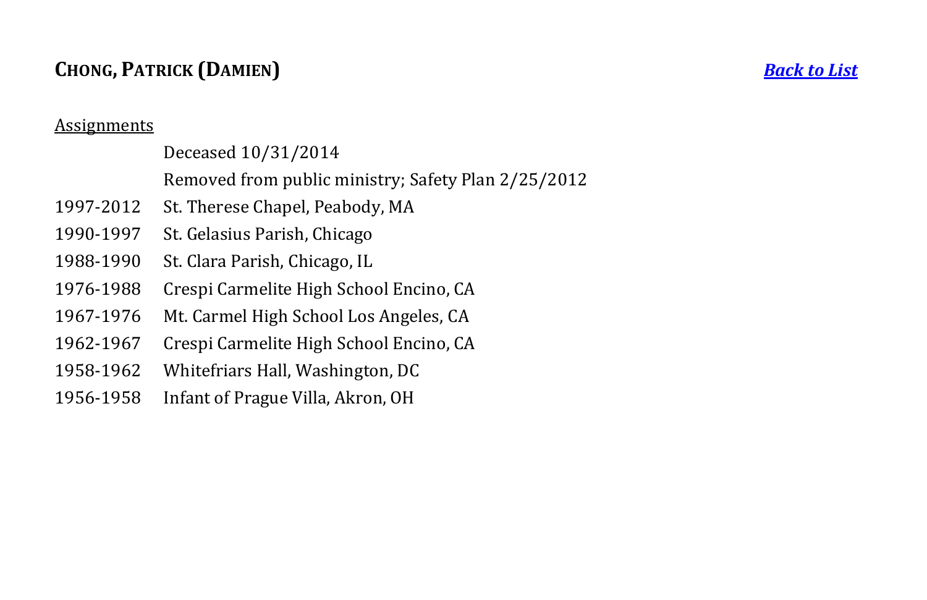## **CHONG, PATRICK (DAMIEN)** *[Back to List](#page-1-0)*

#### **Assignments**

## Deceased 10/31/2014

- Removed from public ministry; Safety Plan 2/25/2012
- 1997-2012 St. Therese Chapel, Peabody, MA
- 1990-1997 St. Gelasius Parish, Chicago
- 1988-1990 St. Clara Parish, Chicago, IL
- 1976-1988 Crespi Carmelite High School Encino, CA
- 1967-1976 Mt. Carmel High School Los Angeles, CA
- 1962-1967 Crespi Carmelite High School Encino, CA
- 1958-1962 Whitefriars Hall, Washington, DC
- <span id="page-9-0"></span>1956-1958 Infant of Prague Villa, Akron, OH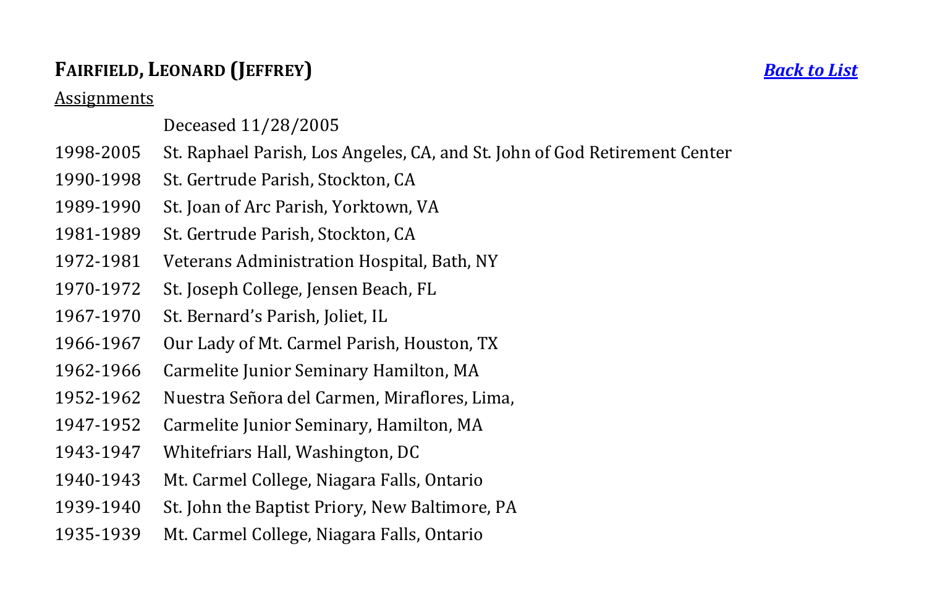## **FAIRFIELD, LEONARD (JEFFREY)** *[Back to List](#page-1-0)*

Assignments

### Deceased 11/28/2005

- 1998-2005 St. Raphael Parish, Los Angeles, CA, and St. John of God Retirement Center
- 1990-1998 St. Gertrude Parish, Stockton, CA
- 1989-1990 St. Joan of Arc Parish, Yorktown, VA
- 1981-1989 St. Gertrude Parish, Stockton, CA
- 1972-1981 Veterans Administration Hospital, Bath, NY
- 1970-1972 St. Joseph College, Jensen Beach, FL
- 1967-1970 St. Bernard's Parish, Joliet, IL
- 1966-1967 Our Lady of Mt. Carmel Parish, Houston, TX
- 1962-1966 Carmelite Junior Seminary Hamilton, MA
- 1952-1962 Nuestra Señora del Carmen, Miraflores, Lima,
- 1947-1952 Carmelite Junior Seminary, Hamilton, MA
- 1943-1947 Whitefriars Hall, Washington, DC
- 1940-1943 Mt. Carmel College, Niagara Falls, Ontario
- 1939-1940 St. John the Baptist Priory, New Baltimore, PA
- <span id="page-10-0"></span>1935-1939 Mt. Carmel College, Niagara Falls, Ontario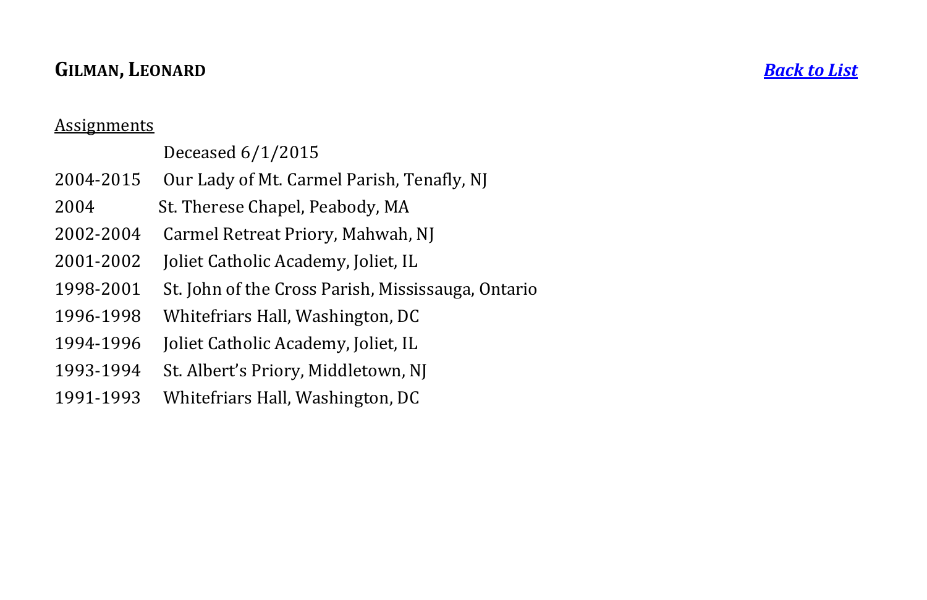## **GILMAN, LEONARD** *[Back to List](#page-1-0)*

### **Assignments**

## Deceased 6/1/2015

- 2004-2015 Our Lady of Mt. Carmel Parish, Tenafly, NJ
- 2004 St. Therese Chapel, Peabody, MA
- 2002-2004 Carmel Retreat Priory, Mahwah, NJ
- 2001-2002 Joliet Catholic Academy, Joliet, IL
- 1998-2001 St. John of the Cross Parish, Mississauga, Ontario
- 1996-1998 Whitefriars Hall, Washington, DC
- 1994-1996 Joliet Catholic Academy, Joliet, IL
- 1993-1994 St. Albert's Priory, Middletown, NJ
- <span id="page-11-0"></span>1991-1993 Whitefriars Hall, Washington, DC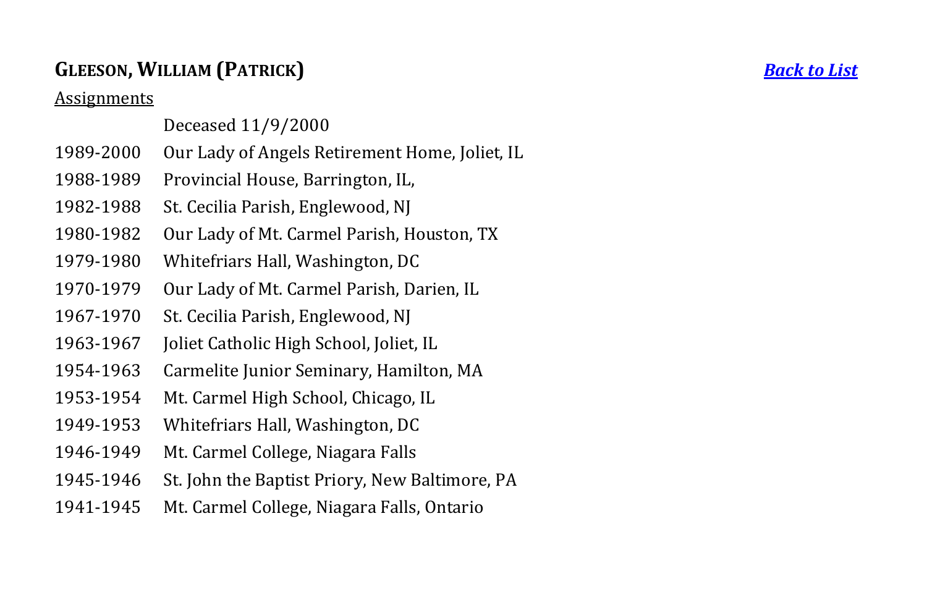## **GLEESON, WILLIAM (PATRICK)** *[Back to List](#page-1-0)*

**Assignments** 

### Deceased 11/9/2000

- 1989-2000 Our Lady of Angels Retirement Home, Joliet, IL
- 1988-1989 Provincial House, Barrington, IL,
- 1982-1988 St. Cecilia Parish, Englewood, NJ
- 1980-1982 Our Lady of Mt. Carmel Parish, Houston, TX
- 1979-1980 Whitefriars Hall, Washington, DC
- 1970-1979 Our Lady of Mt. Carmel Parish, Darien, IL
- 1967-1970 St. Cecilia Parish, Englewood, NJ
- 1963-1967 Joliet Catholic High School, Joliet, IL
- 1954-1963 Carmelite Junior Seminary, Hamilton, MA
- 1953-1954 Mt. Carmel High School, Chicago, IL
- 1949-1953 Whitefriars Hall, Washington, DC
- 1946-1949 Mt. Carmel College, Niagara Falls
- 1945-1946 St. John the Baptist Priory, New Baltimore, PA
- <span id="page-12-0"></span>1941-1945 Mt. Carmel College, Niagara Falls, Ontario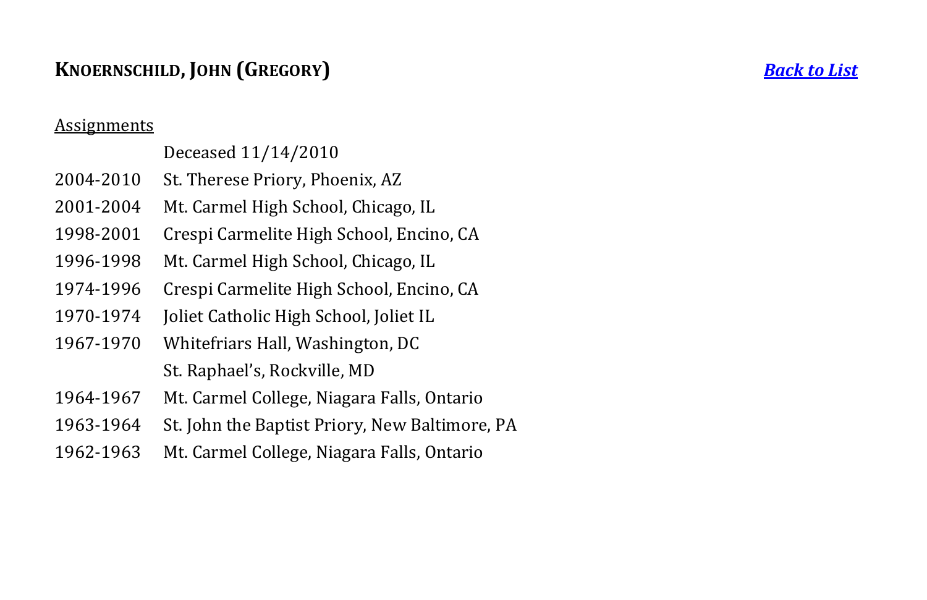## **KNOERNSCHILD, JOHN (GREGORY)** *[Back to List](#page-1-0)*

#### Assignments

## Deceased 11/14/2010

- 2004-2010 St. Therese Priory, Phoenix, AZ
- 2001-2004 Mt. Carmel High School, Chicago, IL
- 1998-2001 Crespi Carmelite High School, Encino, CA
- 1996-1998 Mt. Carmel High School, Chicago, IL
- 1974-1996 Crespi Carmelite High School, Encino, CA
- 1970-1974 Joliet Catholic High School, Joliet IL
- 1967-1970 Whitefriars Hall, Washington, DC St. Raphael's, Rockville, MD
- 1964-1967 Mt. Carmel College, Niagara Falls, Ontario
- 1963-1964 St. John the Baptist Priory, New Baltimore, PA
- <span id="page-13-0"></span>1962-1963 Mt. Carmel College, Niagara Falls, Ontario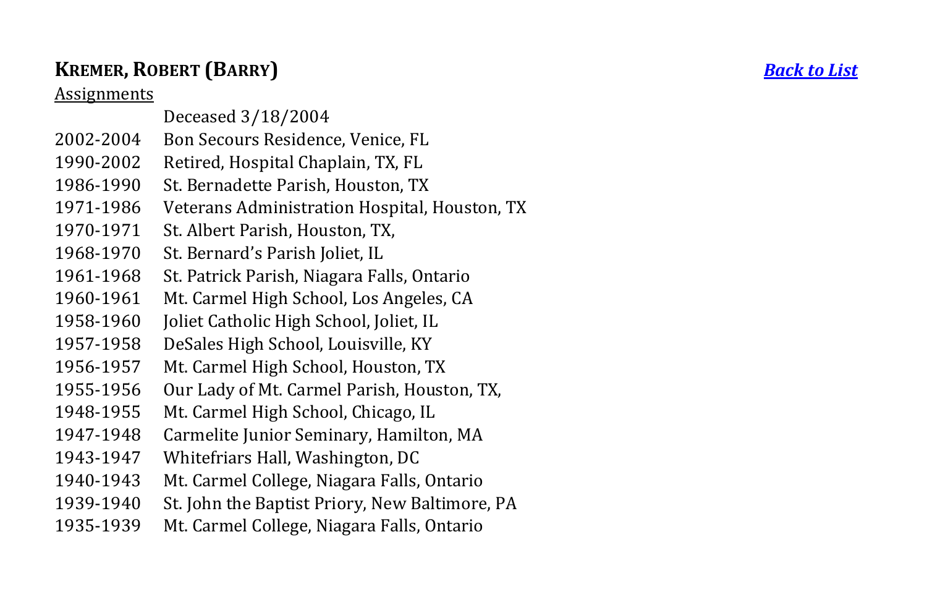## **KREMER , ROBERT ( BARRY**

## **Assignments**

- Deceased 3/ 18/2004
- 2002-2004 Bon Secours Residence, Venice, FL
- 1990-2002 Retired, Hospital Chaplain, TX, FL
- 1986-1990 St. Bernadette Parish, Houston, TX
- 1971-1986 Veterans Administration Hospital, Houston, TX
- 1970-1971 St. Albert Parish, Houston, TX.
- 1968-1970 St. Bernard's Parish Joliet, IL
- 1961-1968 St. Patrick Parish, Niagara Falls, Ontario
- 1960-1961 Mt. Carmel High School, Los Angeles, CA
- 1958-1960 -1960 Joliet Catholic High School, Joliet, I L
- 1957-1958 DeSales High School, Louisville, KY
- 1956-1957 Mt. Carmel High School, Houston, TX
- 1955-1956 Our Lady of Mt. Carmel Parish, Houston, TX,
- 1948-1955 Mt. Carmel High School, Chicago, IL
- 1947-1948 Carmelite Junior Seminary, Hamilton, MA
- 1943-1947 Whitefriars Hall, Washington, DC
- 1940-1943 Mt. Carmel College, Niagara Falls, Ontario
- 1939-1940 St. John the Baptist Priory, New Baltimore, PA
- <span id="page-14-0"></span>1935-1939 Mt. Carmel College, Niagara Falls, Ontario

**)** *[Back to List](#page-1-0)*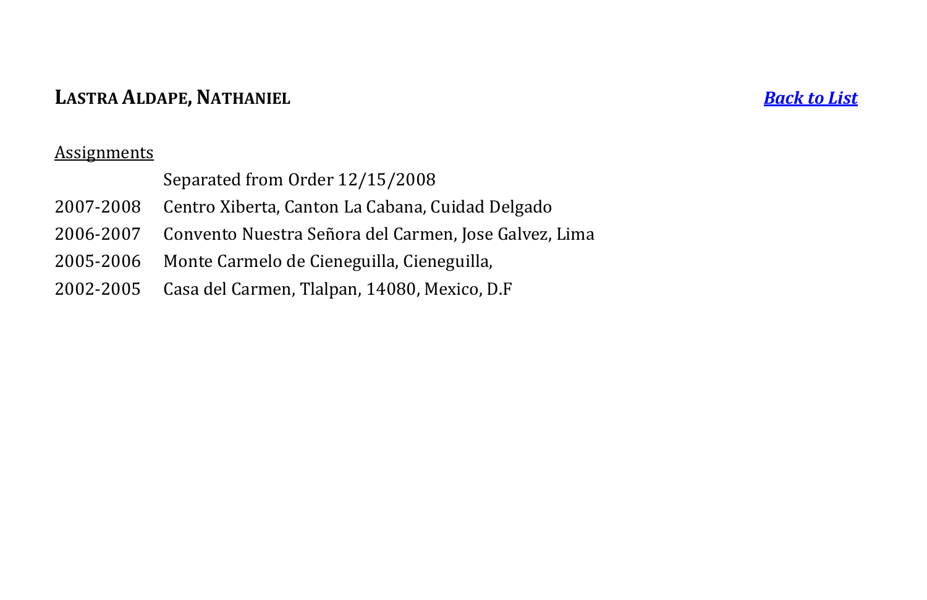## **LASTRA ALDAPE, NATHANIEL** *[Back to List](#page-1-0)*

<span id="page-15-0"></span>

|           | Separated from Order 12/15/2008                                 |
|-----------|-----------------------------------------------------------------|
| 2007-2008 | Centro Xiberta, Canton La Cabana, Cuidad Delgado                |
|           | 2006-2007 Convento Nuestra Señora del Carmen, Jose Galvez, Lima |
|           | 2005-2006 Monte Carmelo de Cieneguilla, Cieneguilla,            |
|           | 2002-2005 Casa del Carmen, Tlalpan, 14080, Mexico, D.F          |
|           |                                                                 |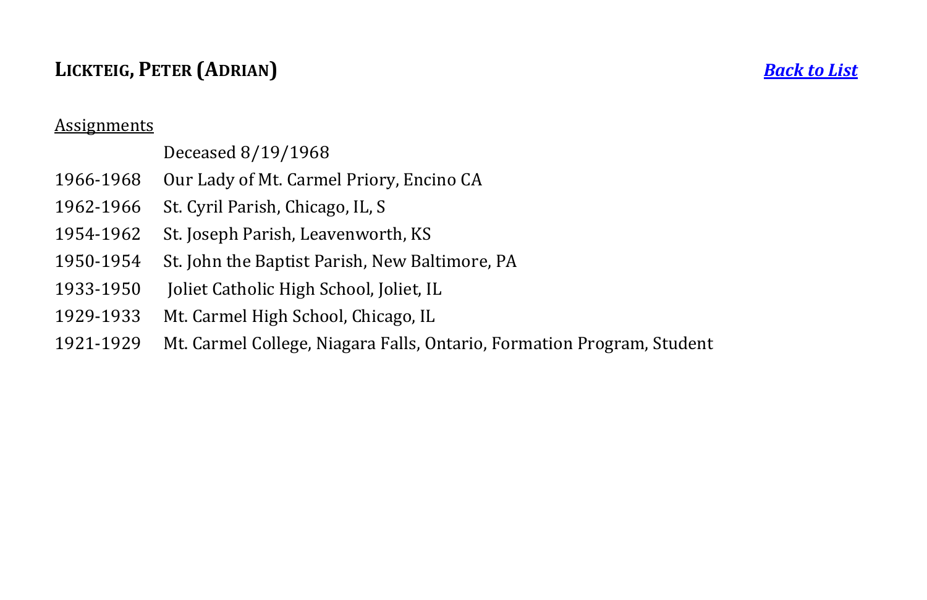## **LICKTEIG, PETER (ADRIAN)** *[Back to List](#page-1-0)*

#### **Assignments**

## Deceased 8/19/1968

- 1966-1968 Our Lady of Mt. Carmel Priory, Encino CA
- 1962-1966 St. Cyril Parish, Chicago, IL, S
- 1954-1962 St. Joseph Parish, Leavenworth, KS
- 1950-1954 St. John the Baptist Parish, New Baltimore, PA
- 1933-1950 Joliet Catholic High School, Joliet, IL
- 1929-1933 Mt. Carmel High School, Chicago, IL
- <span id="page-16-0"></span>1921-1929 Mt. Carmel College, Niagara Falls, Ontario, Formation Program, Student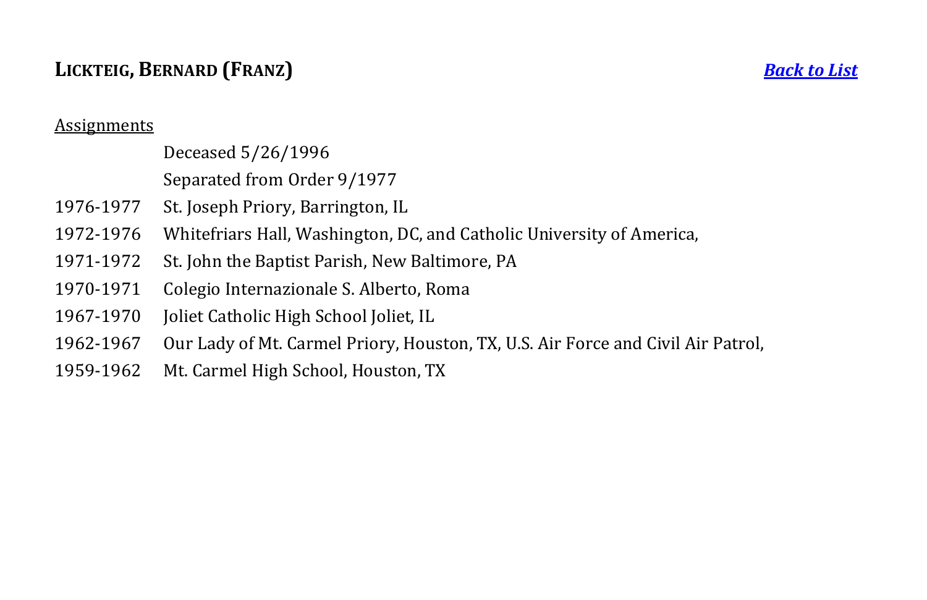## **LICKTEIG, BERNARD (FRANZ)** *[Back to List](#page-1-0)*

#### **Assignments**

Deceased 5/26/1996

Separated from Order 9/1977

- 1976-1977 St. Joseph Priory, Barrington, IL
- 1972-1976 Whitefriars Hall, Washington, DC, and Catholic University of America,
- 1971-1972 St. John the Baptist Parish, New Baltimore, PA
- 1970-1971 Colegio Internazionale S. Alberto, Roma
- 1967-1970 Joliet Catholic High School Joliet, IL
- 1962-1967 Our Lady of Mt. Carmel Priory, Houston, TX, U.S. Air Force and Civil Air Patrol,
- <span id="page-17-0"></span>1959-1962 Mt. Carmel High School, Houston, TX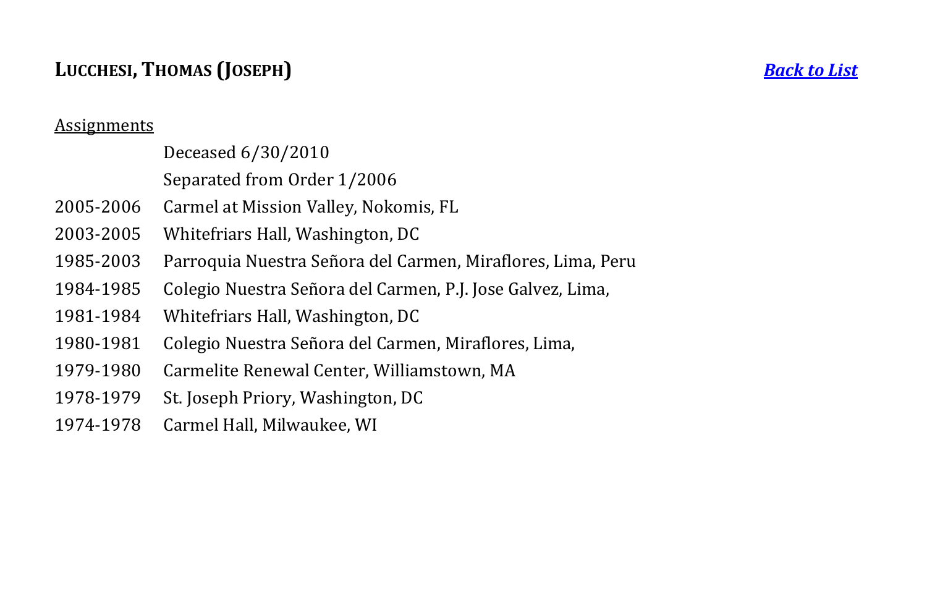## **LUCCHESI, THOMAS (JOSEPH)** *[Back to List](#page-1-0)*

### Assignments

## Deceased 6/30/2010

## Separated from Order 1/2006

- 2005-2006 Carmel at Mission Valley, Nokomis, FL
- 2003-2005 Whitefriars Hall, Washington, DC
- 1985-2003 Parroquia Nuestra Señora del Carmen, Miraflores, Lima, Peru
- 1984-1985 Colegio Nuestra Señora del Carmen, P.J. Jose Galvez, Lima,
- 1981-1984 Whitefriars Hall, Washington, DC
- 1980-1981 Colegio Nuestra Señora del Carmen, Miraflores, Lima,
- 1979-1980 Carmelite Renewal Center, Williamstown, MA
- 1978-1979 St. Joseph Priory, Washington, DC
- 1974-1978 Carmel Hall, Milwaukee, WI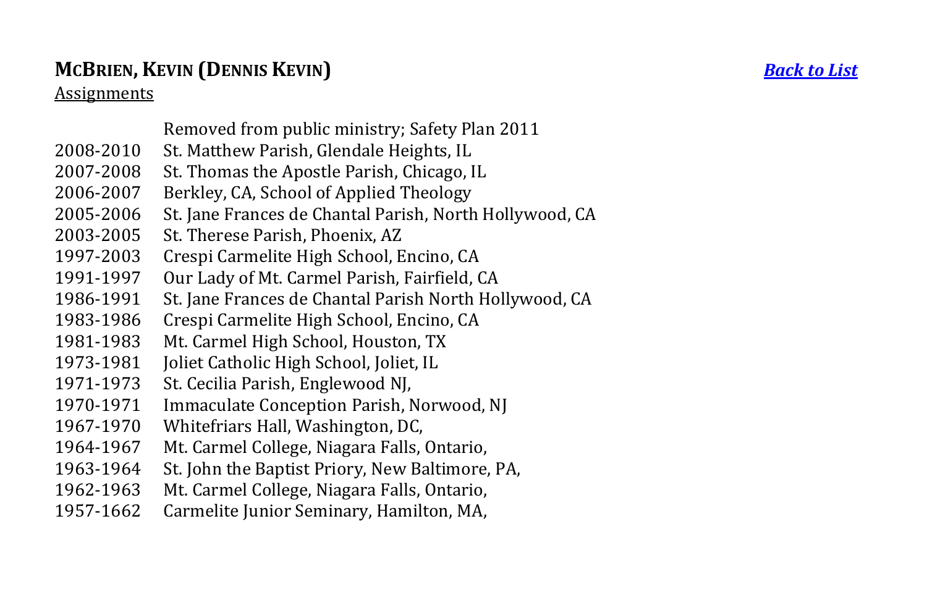## **MCBRIEN, KEVIN (DENNIS KEVIN)** *[Back to List](#page-1-0)*

- Removed from public ministry; Safety Plan 2011
- 2008-2010 St. Matthew Parish, Glendale Heights, IL
- 2007-2008 St. Thomas the Apostle Parish, Chicago, IL
- 2006-2007 Berkley, CA, School of Applied Theology
- 2005-2006 St. Jane Frances de Chantal Parish, North Hollywood, CA
- 2003-2005 St. Therese Parish, Phoenix, AZ
- 1997-2003 Crespi Carmelite High School, Encino, CA
- 1991-1997 Our Lady of Mt. Carmel Parish, Fairfield, CA
- 1986-1991 St. Jane Frances de Chantal Parish North Hollywood, CA
- 1983-1986 Crespi Carmelite High School, Encino, CA
- 1981-1983 Mt. Carmel High School, Houston, TX
- 1973-1981 Joliet Catholic High School, Joliet, IL
- 1971-1973 St. Cecilia Parish, Englewood NJ,
- 1970-1971 Immaculate Conception Parish, Norwood, NJ
- 1967-1970 Whitefriars Hall, Washington, DC,
- 1964-1967 Mt. Carmel College, Niagara Falls, Ontario,
- 1963-1964 St. John the Baptist Priory, New Baltimore, PA,
- 1962-1963 Mt. Carmel College, Niagara Falls, Ontario,
- <span id="page-19-0"></span>1957-1662 Carmelite Junior Seminary, Hamilton, MA,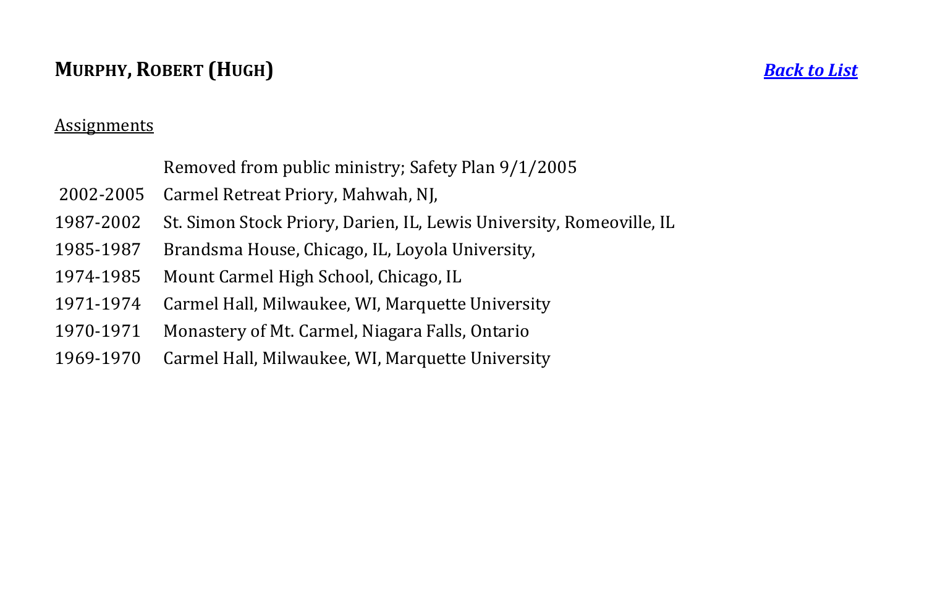## **MURPHY, ROBERT (HUGH)** *[Back to List](#page-1-0)*

#### **Assignments**

Removed from public ministry; Safety Plan 9/1/2005

- 2002-2005 Carmel Retreat Priory, Mahwah, NJ,
- 1987-2002 St. Simon Stock Priory, Darien, IL, Lewis University, Romeoville, IL
- 1985-1987 Brandsma House, Chicago, IL, Loyola University,
- 1974-1985 Mount Carmel High School, Chicago, IL
- 1971-1974 Carmel Hall, Milwaukee, WI, Marquette University
- 1970-1971 Monastery of Mt. Carmel, Niagara Falls, Ontario
- <span id="page-20-0"></span>1969-1970 Carmel Hall, Milwaukee, WI, Marquette University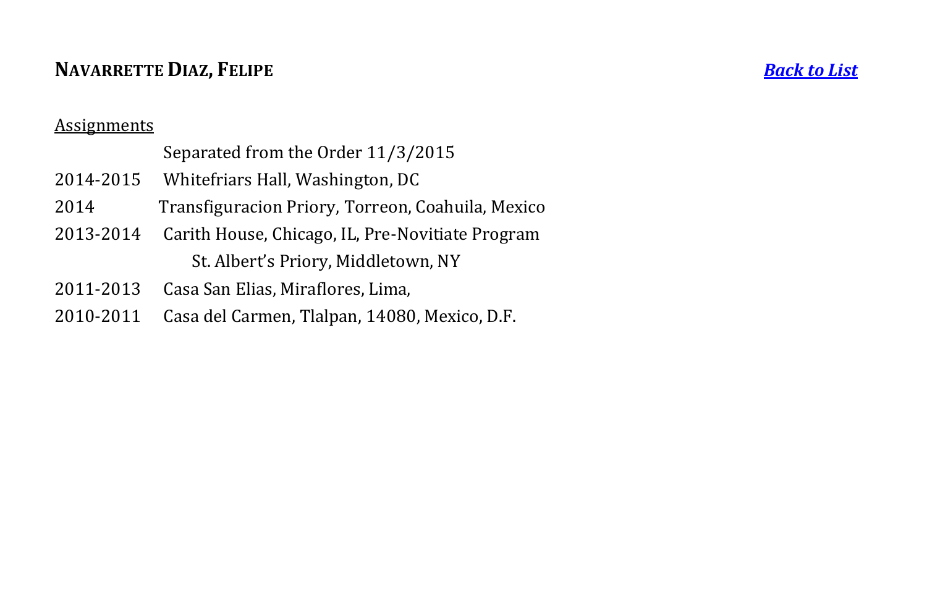## **NAVARRETTE DIAZ, FELIPE** *[Back to List](#page-1-0)*

#### **Assignments**

## Separated from the Order 11/3/2015

- 2014-2015 Whitefriars Hall, Washington, DC
- 2014 Transfiguracion Priory, Torreon, Coahuila, Mexico
- 2013-2014 Carith House, Chicago, IL, Pre-Novitiate Program St. Albert's Priory, Middletown, NY
- 2011-2013 Casa San Elias, Miraflores, Lima,
- <span id="page-21-0"></span>2010-2011 Casa del Carmen, Tlalpan, 14080, Mexico, D.F.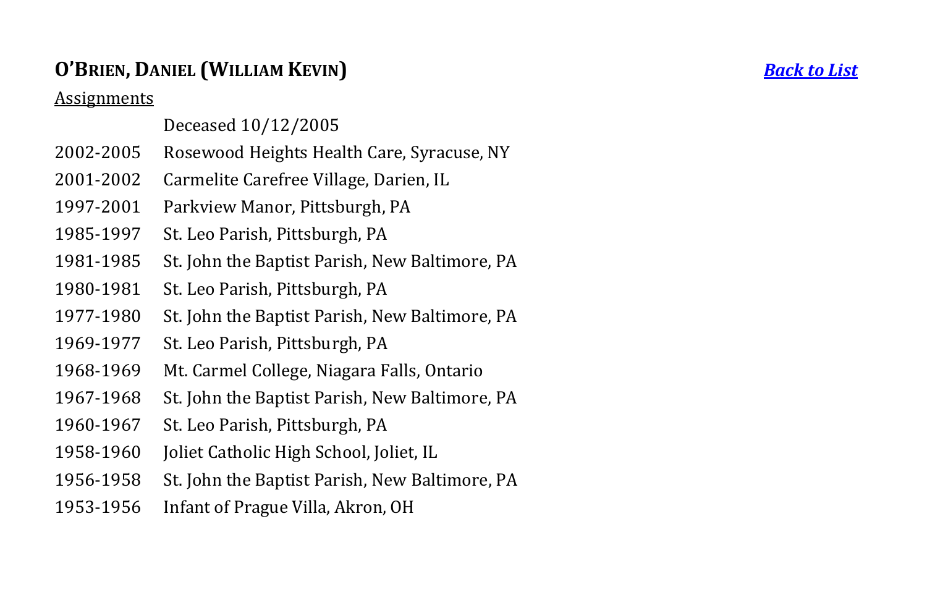## **O'BRIEN, DANIEL (WILLIAM KEVIN)** *[Back to List](#page-1-0)*

Assignments

### Deceased 10/12/2005

- 2002-2005 Rosewood Heights Health Care, Syracuse, NY
- 2001-2002 Carmelite Carefree Village, Darien, IL
- 1997-2001 Parkview Manor, Pittsburgh, PA
- 1985-1997 St. Leo Parish, Pittsburgh, PA
- 1981-1985 St. John the Baptist Parish, New Baltimore, PA
- 1980-1981 St. Leo Parish, Pittsburgh, PA
- 1977-1980 St. John the Baptist Parish, New Baltimore, PA
- 1969-1977 St. Leo Parish, Pittsburgh, PA
- 1968-1969 Mt. Carmel College, Niagara Falls, Ontario
- 1967-1968 St. John the Baptist Parish, New Baltimore, PA
- 1960-1967 St. Leo Parish, Pittsburgh, PA
- 1958-1960 Joliet Catholic High School, Joliet, IL
- 1956-1958 St. John the Baptist Parish, New Baltimore, PA
- <span id="page-22-0"></span>1953-1956 Infant of Prague Villa, Akron, OH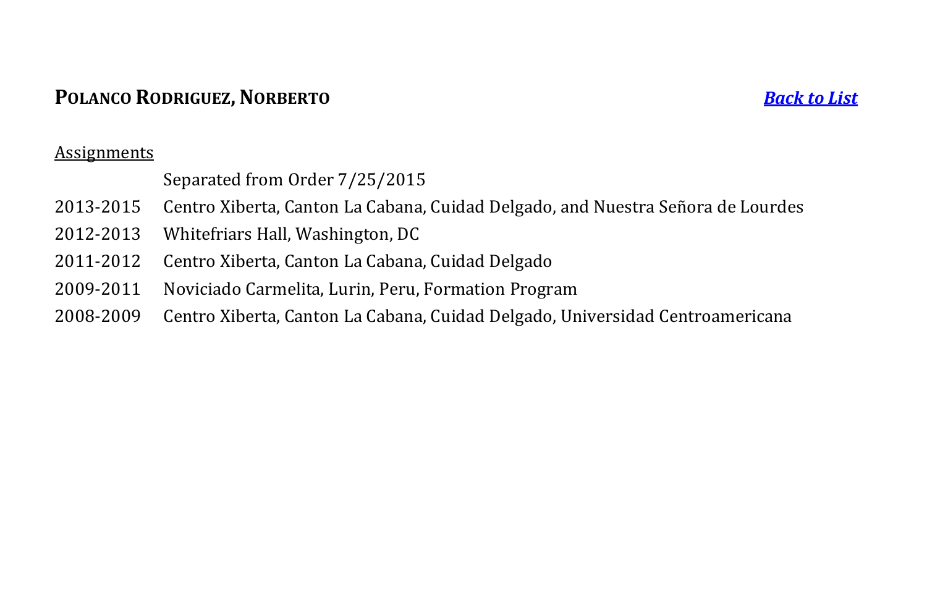## **POLANCO RODRIGUEZ, NORBERTO** *[Back to List](#page-1-0)*

#### Assignments

## Separated from Order 7/25/2015

- 2013-2015 Centro Xiberta, Canton La Cabana, Cuidad Delgado, and Nuestra Señora de Lourdes
- 2012-2013 Whitefriars Hall, Washington, DC
- 2011-2012 Centro Xiberta, Canton La Cabana, Cuidad Delgado
- 2009-2011 Noviciado Carmelita, Lurin, Peru, Formation Program
- <span id="page-23-0"></span>2008-2009 Centro Xiberta, Canton La Cabana, Cuidad Delgado, Universidad Centroamericana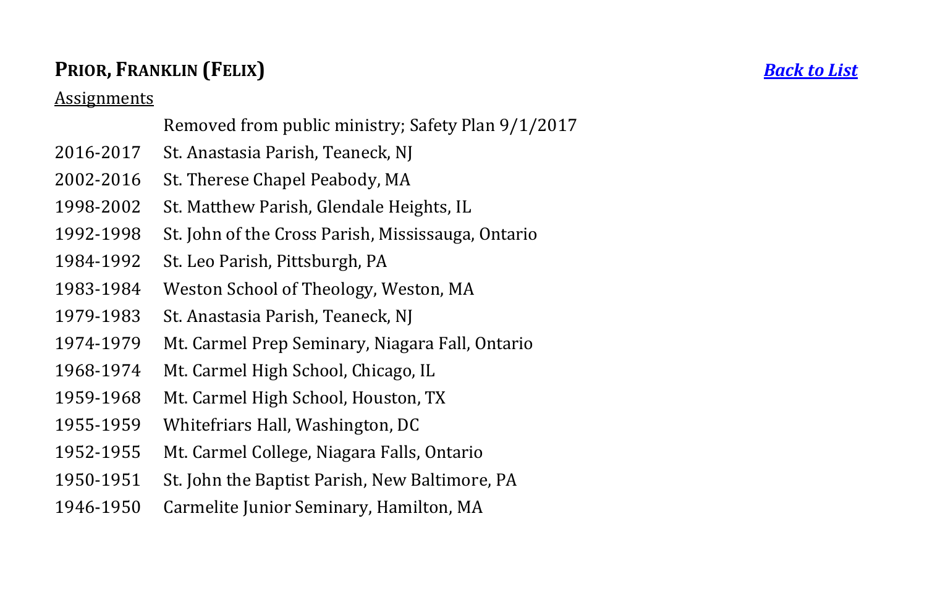## **PRIOR, FRANKLIN (FELIX)** *[Back to List](#page-1-0)*

#### Assignments

Removed from public ministry; Safety Plan 9/1/2017

- 2016-2017 St. Anastasia Parish, Teaneck, NJ
- 2002-2016 St. Therese Chapel Peabody, MA
- 1998-2002 St. Matthew Parish, Glendale Heights, IL
- 1992-1998 St. John of the Cross Parish, Mississauga, Ontario
- 1984-1992 St. Leo Parish, Pittsburgh, PA
- 1983-1984 Weston School of Theology, Weston, MA
- 1979-1983 St. Anastasia Parish, Teaneck, NJ
- 1974-1979 Mt. Carmel Prep Seminary, Niagara Fall, Ontario
- 1968-1974 Mt. Carmel High School, Chicago, IL
- 1959-1968 Mt. Carmel High School, Houston, TX
- 1955-1959 Whitefriars Hall, Washington, DC
- 1952-1955 Mt. Carmel College, Niagara Falls, Ontario
- 1950-1951 St. John the Baptist Parish, New Baltimore, PA
- <span id="page-24-0"></span>1946-1950 Carmelite Junior Seminary, Hamilton, MA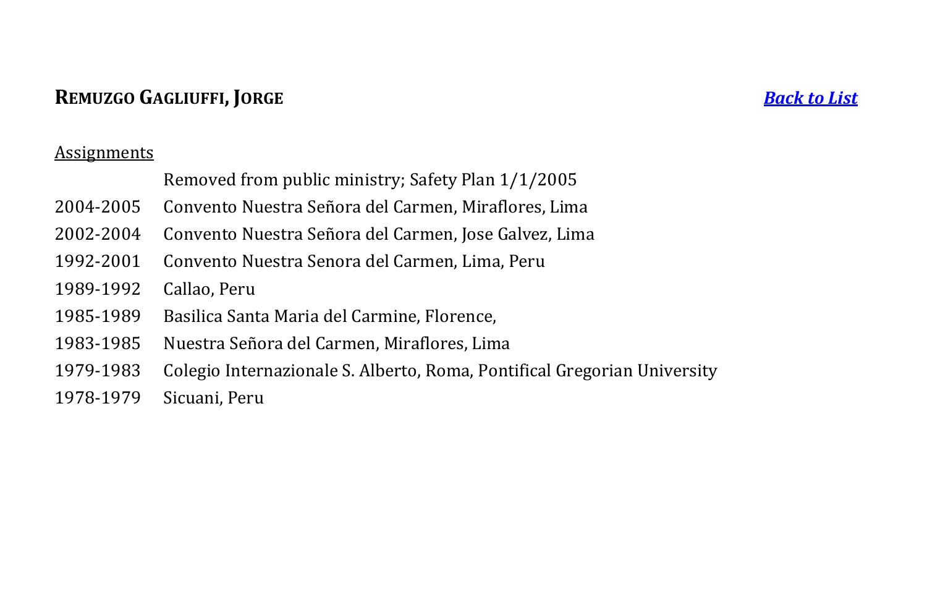## **REMUZGO GAGLIUFFI, JORGE** *[Back to List](#page-1-0)*

- 2004-2005 Convento Nuestra Señora del Carmen, Miraflores, Lima
- 2002-2004 Convento Nuestra Señora del Carmen, Jose Galvez, Lima
- 1992-2001 Convento Nuestra Senora del Carmen, Lima, Peru
- 1989-1992 Callao, Peru
- 1985-1989 Basilica Santa Maria del Carmine, Florence,
- 1983-1985 Nuestra Señora del Carmen, Miraflores, Lima
- 1979-1983 Colegio Internazionale S. Alberto, Roma, Pontifical Gregorian University
- <span id="page-25-0"></span>1978-1979 Sicuani, Peru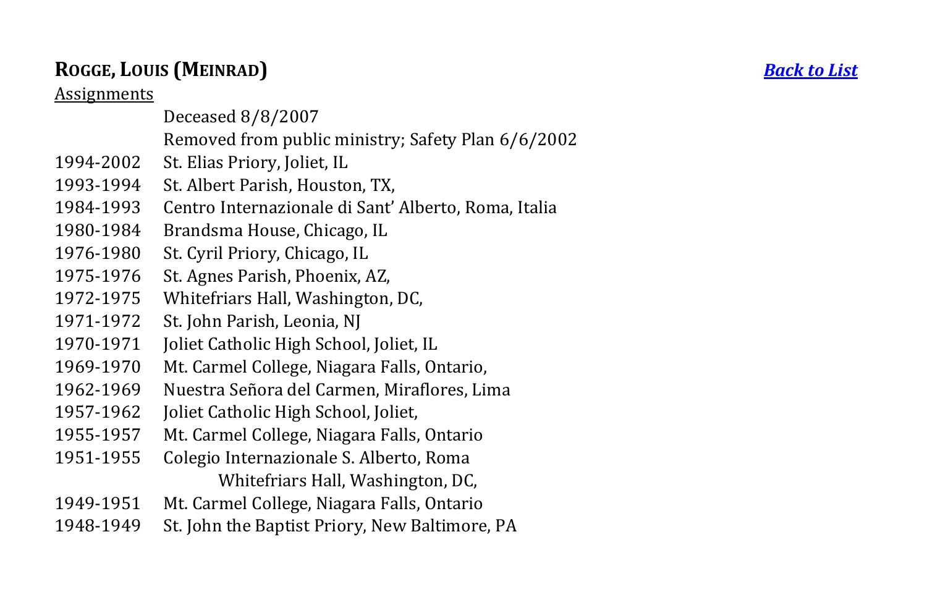## **ROGGE, LOUIS (MEINRAD)** *[Back to List](#page-1-0)*

- Deceased 8/8/2007
- Removed from public ministry; Safety Plan 6/6/2002
- 1994-2002 St. Elias Priory, Joliet, IL
- 1993-1994 St. Albert Parish, Houston, TX,
- 1984-1993 Centro Internazionale di Sant' Alberto, Roma, Italia
- 1980-1984 Brandsma House, Chicago, IL
- 1976-1980 St. Cyril Priory, Chicago, IL
- 1975-1976 St. Agnes Parish, Phoenix, AZ,
- 1972-1975 Whitefriars Hall, Washington, DC,
- 1971-1972 St. John Parish, Leonia, NJ
- 1970-1971 Joliet Catholic High School, Joliet, IL
- 1969-1970 Mt. Carmel College, Niagara Falls, Ontario,
- 1962-1969 Nuestra Señora del Carmen, Miraflores, Lima
- 1957-1962 Joliet Catholic High School, Joliet,
- 1955-1957 Mt. Carmel College, Niagara Falls, Ontario
- 1951-1955 Colegio Internazionale S. Alberto, Roma Whitefriars Hall, Washington, DC,
- 1949-1951 Mt. Carmel College, Niagara Falls, Ontario
- <span id="page-26-0"></span>1948-1949 St. John the Baptist Priory, New Baltimore, PA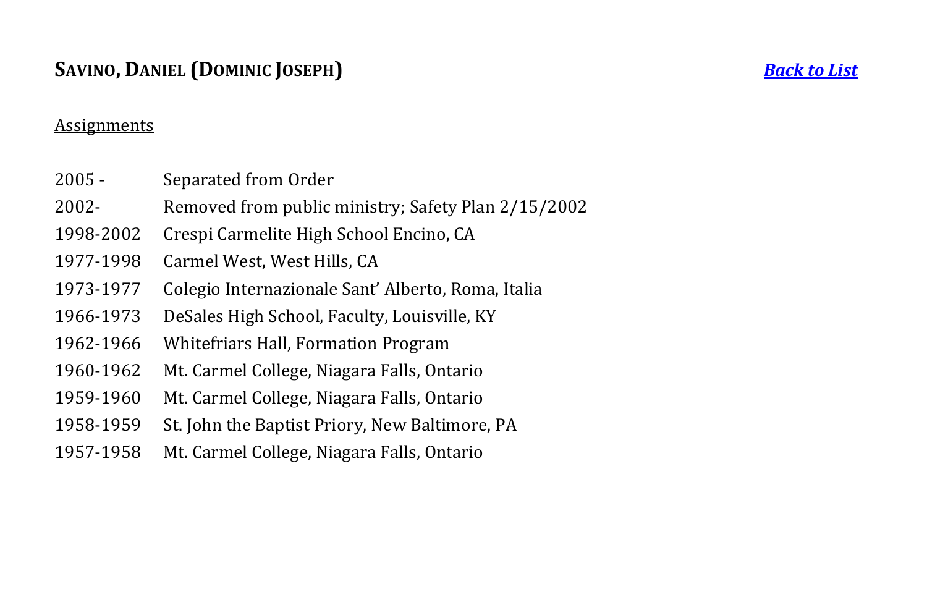## **SAVINO, DANIEL (DOMINIC JOSEPH)** *[Back to List](#page-1-0)*

- 2005 Separated from Order
- 2002- Removed from public ministry; Safety Plan 2/15/2002
- 1998-2002 Crespi Carmelite High School Encino, CA
- 1977-1998 Carmel West, West Hills, CA
- 1973-1977 Colegio Internazionale Sant' Alberto, Roma, Italia
- 1966-1973 DeSales High School, Faculty, Louisville, KY
- 1962-1966 Whitefriars Hall, Formation Program
- 1960-1962 Mt. Carmel College, Niagara Falls, Ontario
- 1959-1960 Mt. Carmel College, Niagara Falls, Ontario
- 1958-1959 St. John the Baptist Priory, New Baltimore, PA
- <span id="page-27-0"></span>1957-1958 Mt. Carmel College, Niagara Falls, Ontario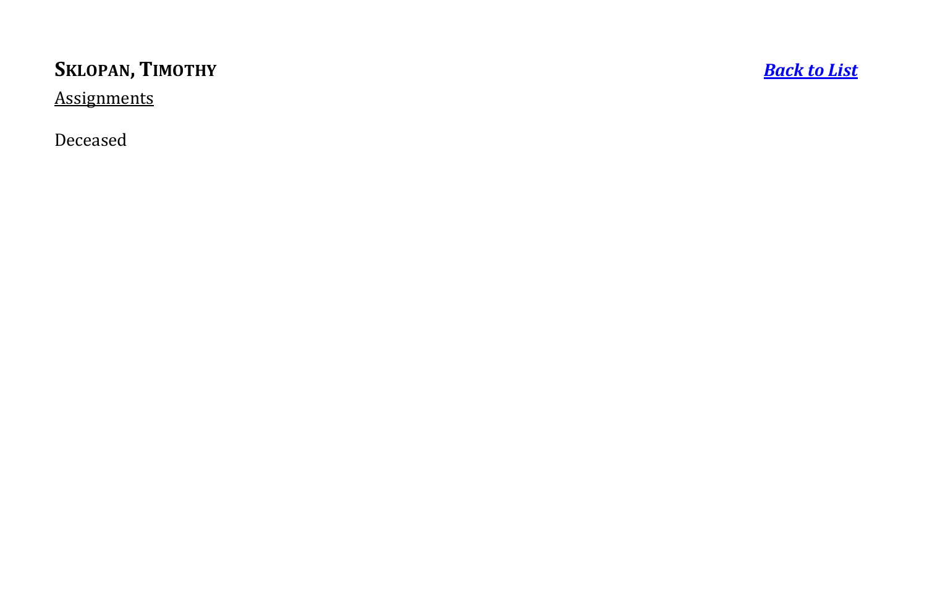## **SKLOPAN ,**

**[Back to List](#page-1-0)** 

**Assignments** 

<span id="page-28-0"></span>Deceased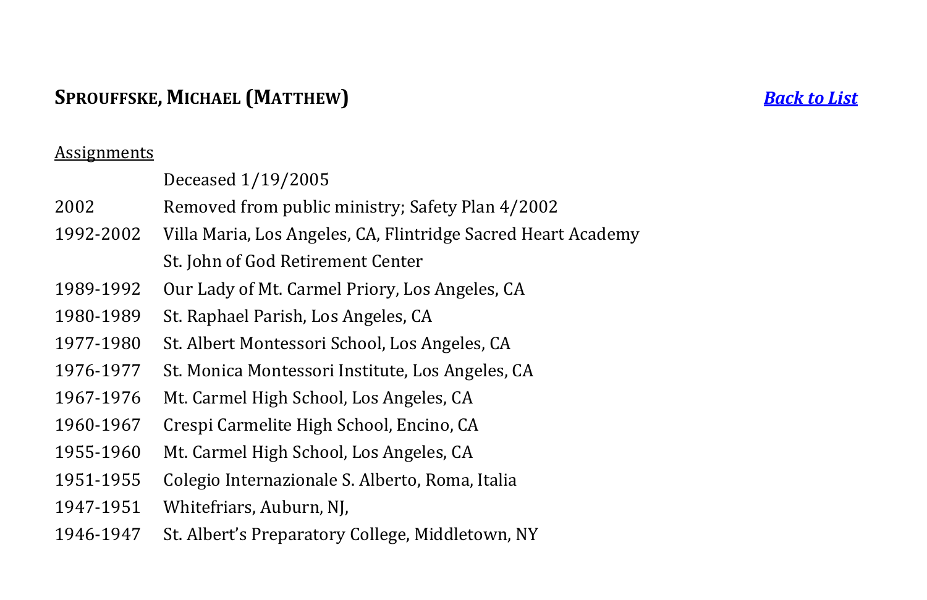## **SPROUFFSKE, MICHAEL (MATTHEW)** *[Back to List](#page-1-0)*

### **Assignments**

|           | Deceased 1/19/2005                                            |
|-----------|---------------------------------------------------------------|
| 2002      | Removed from public ministry; Safety Plan 4/2002              |
| 1992-2002 | Villa Maria, Los Angeles, CA, Flintridge Sacred Heart Academy |
|           | St. John of God Retirement Center                             |
| 1989-1992 | Our Lady of Mt. Carmel Priory, Los Angeles, CA                |
| 1980-1989 | St. Raphael Parish, Los Angeles, CA                           |
| 1977-1980 | St. Albert Montessori School, Los Angeles, CA                 |
| 1976-1977 | St. Monica Montessori Institute, Los Angeles, CA              |
| 1967-1976 | Mt. Carmel High School, Los Angeles, CA                       |
| 1960-1967 | Crespi Carmelite High School, Encino, CA                      |
| 1955-1960 | Mt. Carmel High School, Los Angeles, CA                       |
| 1951-1955 | Colegio Internazionale S. Alberto, Roma, Italia               |
| 1947-1951 | Whitefriars, Auburn, NJ,                                      |
|           |                                                               |

<span id="page-29-0"></span>1946-1947 St. Albert's Preparatory College, Middletown, NY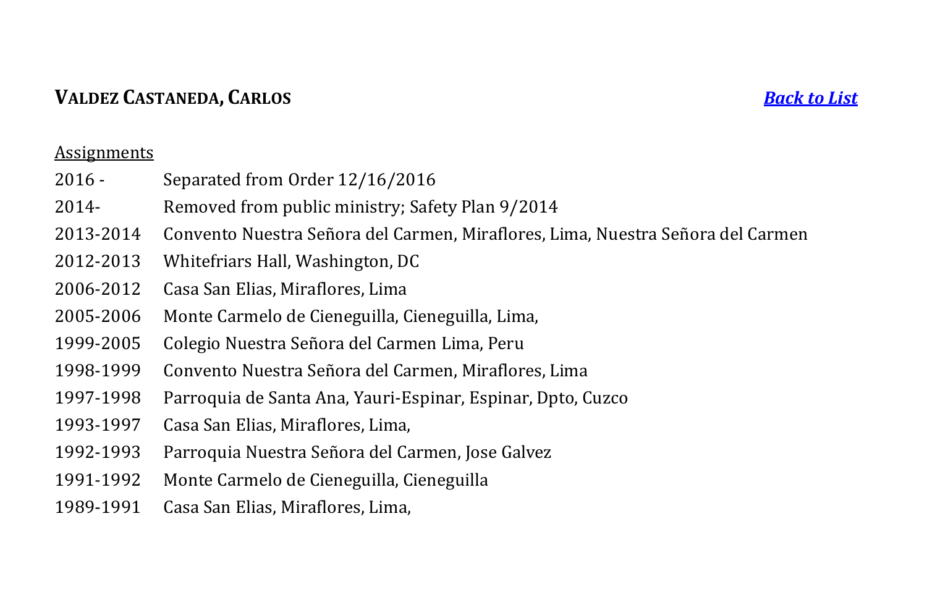## **VALDEZ CASTANEDA, CARLOS** *[Back to List](#page-1-0)*

- 2016 Separated from Order 12/16/2016
- 2014- Removed from public ministry; Safety Plan 9/2014
- 2013-2014 Convento Nuestra Señora del Carmen, Miraflores, Lima, Nuestra Señora del Carmen
- 2012-2013 Whitefriars Hall, Washington, DC
- 2006-2012 Casa San Elias, Miraflores, Lima
- 2005-2006 Monte Carmelo de Cieneguilla, Cieneguilla, Lima,
- 1999-2005 Colegio Nuestra Señora del Carmen Lima, Peru
- 1998-1999 Convento Nuestra Señora del Carmen, Miraflores, Lima
- 1997-1998 Parroquia de Santa Ana, Yauri-Espinar, Espinar, Dpto, Cuzco
- 1993-1997 Casa San Elias, Miraflores, Lima,
- 1992-1993 Parroquia Nuestra Señora del Carmen, Jose Galvez
- 1991-1992 Monte Carmelo de Cieneguilla, Cieneguilla
- <span id="page-30-0"></span>1989-1991 Casa San Elias, Miraflores, Lima,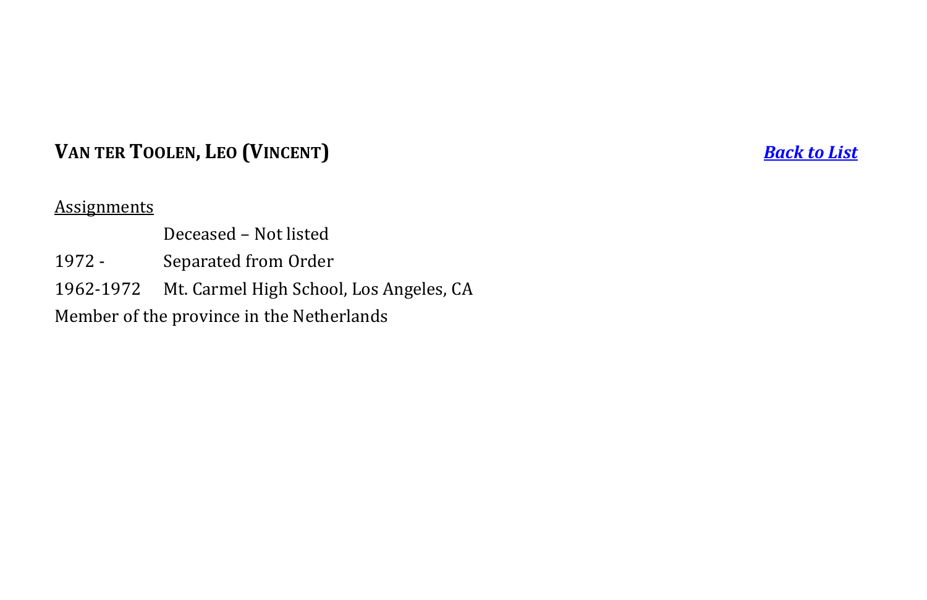## **VAN TER TOOLEN, LEO (VINCENT)** *[Back to List](#page-1-0)*

### **Assignments**

- Deceased Not listed
- 1972 Separated from Order
- 1962-1972 Mt. Carmel High School, Los Angeles, CA

<span id="page-31-0"></span>Member of the province in the Netherlands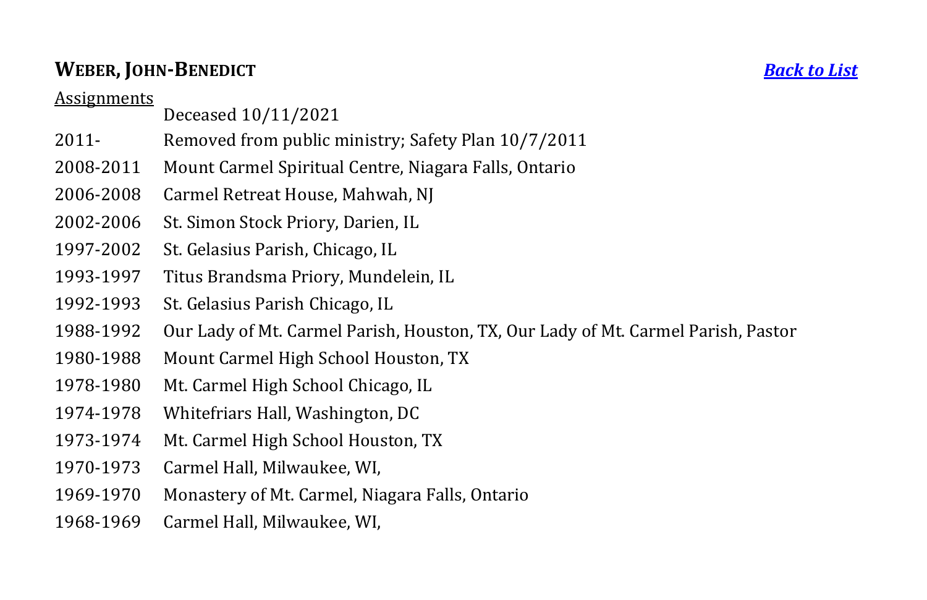## **WEBER, JOHN-BENEDICT** *[Back to List](#page-1-0)*

- Deceased 10/11/2021
- 2011- Removed from public ministry; Safety Plan 10/7/2011
- 2008-2011 Mount Carmel Spiritual Centre, Niagara Falls, Ontario
- 2006-2008 Carmel Retreat House, Mahwah, NJ
- 2002-2006 St. Simon Stock Priory, Darien, IL
- 1997-2002 St. Gelasius Parish, Chicago, IL
- 1993-1997 Titus Brandsma Priory, Mundelein, IL
- 1992-1993 St. Gelasius Parish Chicago, IL
- 1988-1992 Our Lady of Mt. Carmel Parish, Houston, TX, Our Lady of Mt. Carmel Parish, Pastor
- 1980-1988 Mount Carmel High School Houston, TX
- 1978-1980 Mt. Carmel High School Chicago, IL
- 1974-1978 Whitefriars Hall, Washington, DC
- 1973-1974 Mt. Carmel High School Houston, TX
- 1970-1973 Carmel Hall, Milwaukee, WI,
- 1969-1970 Monastery of Mt. Carmel, Niagara Falls, Ontario
- <span id="page-32-0"></span>1968-1969 Carmel Hall, Milwaukee, WI,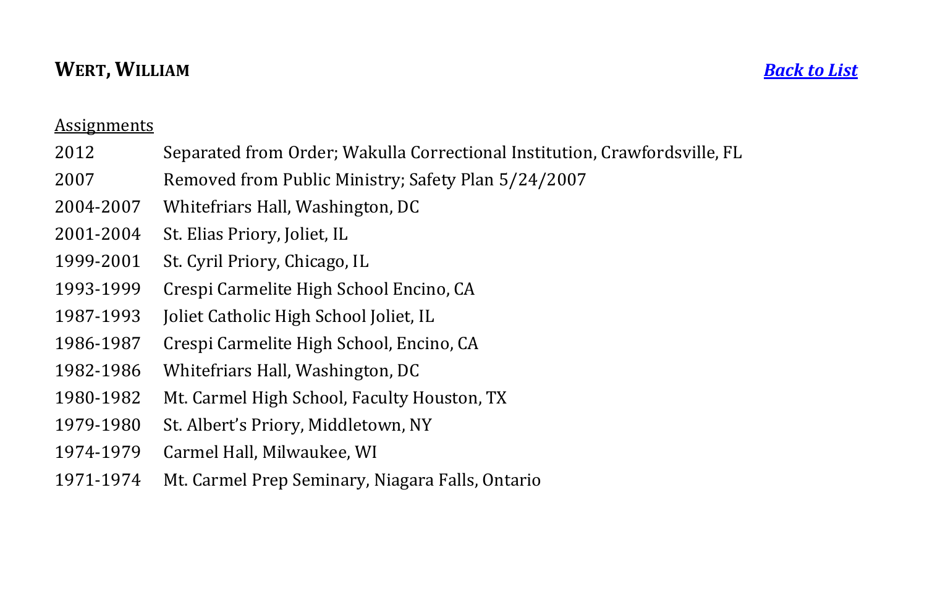## **WERT, WILLIAM** *[Back to List](#page-1-0)*

- 2012 Separated from Order; Wakulla Correctional Institution, Crawfordsville, FL
- 2007 Removed from Public Ministry; Safety Plan 5/24/2007
- 2004-2007 Whitefriars Hall, Washington, DC
- 2001-2004 St. Elias Priory, Joliet, IL
- 1999-2001 St. Cyril Priory, Chicago, IL
- 1993-1999 Crespi Carmelite High School Encino, CA
- 1987-1993 Joliet Catholic High School Joliet, IL
- 1986-1987 Crespi Carmelite High School, Encino, CA
- 1982-1986 Whitefriars Hall, Washington, DC
- 1980-1982 Mt. Carmel High School, Faculty Houston, TX
- 1979-1980 St. Albert's Priory, Middletown, NY
- 1974-1979 Carmel Hall, Milwaukee, WI
- <span id="page-33-0"></span>1971-1974 Mt. Carmel Prep Seminary, Niagara Falls, Ontario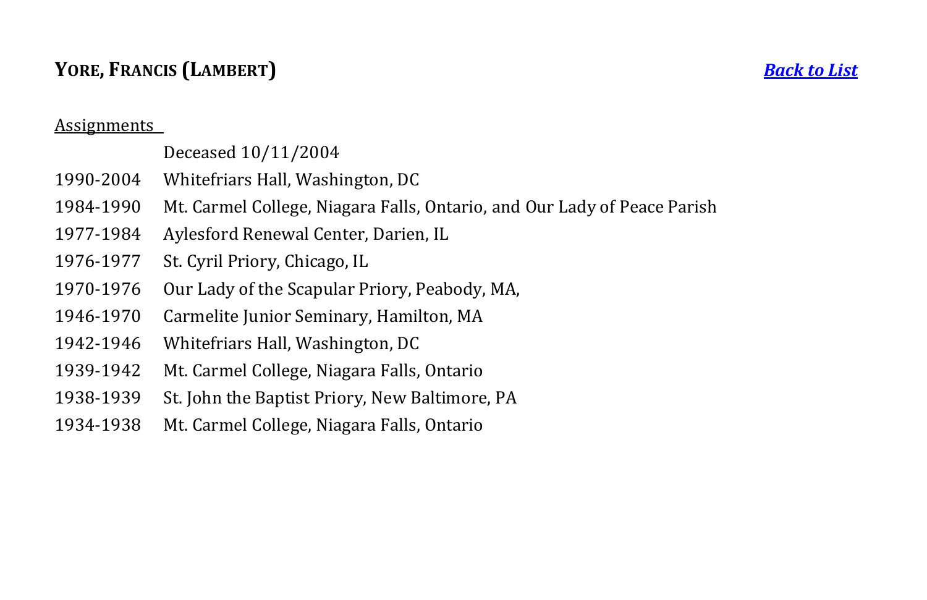## **YORE, FRANCIS (LAMBERT)** *[Back to List](#page-1-0)*

#### Assignments

## Deceased 10/11/2004

- 1990-2004 Whitefriars Hall, Washington, DC
- 1984-1990 Mt. Carmel College, Niagara Falls, Ontario, and Our Lady of Peace Parish
- 1977-1984 Aylesford Renewal Center, Darien, IL
- 1976-1977 St. Cyril Priory, Chicago, IL
- 1970-1976 Our Lady of the Scapular Priory, Peabody, MA,
- 1946-1970 Carmelite Junior Seminary, Hamilton, MA
- 1942-1946 Whitefriars Hall, Washington, DC
- 1939-1942 Mt. Carmel College, Niagara Falls, Ontario
- 1938-1939 St. John the Baptist Priory, New Baltimore, PA
- <span id="page-34-0"></span>1934-1938 Mt. Carmel College, Niagara Falls, Ontario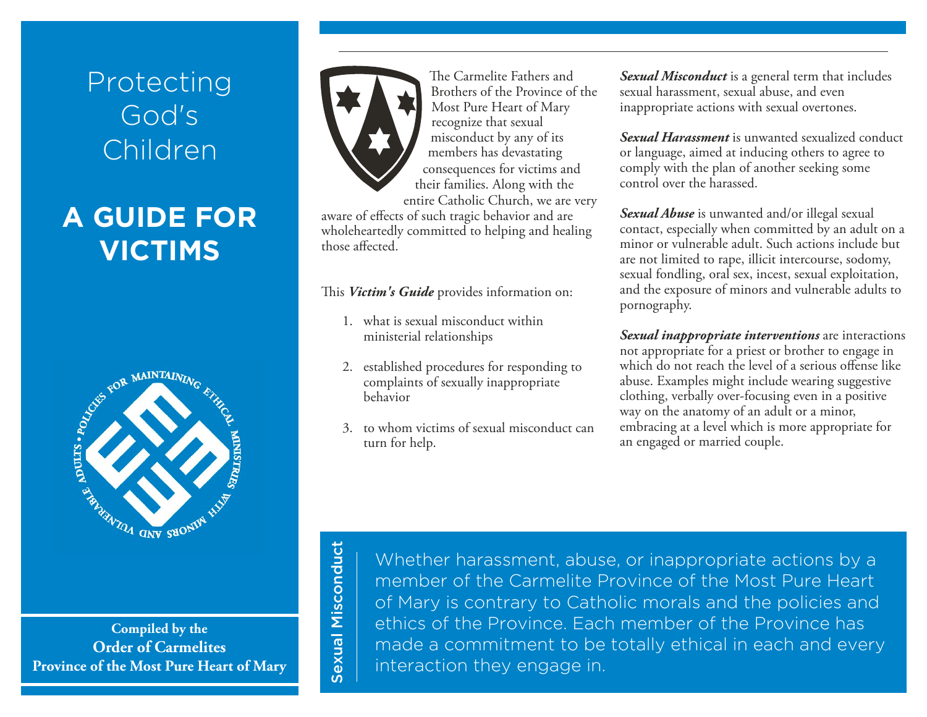# <span id="page-35-0"></span>Protecting God's Children

# **A GUIDE FOR VICTIMS**



**Compiled by the Order of Carmelites Province of the Most Pure Heart of Mary**



The Carmelite Fathers and Brothers of the Province of the Most Pure Heart of Mary recognize that sexual misconduct by any of its members has devastating consequences for victims and their families. Along with the entire Catholic Church, we are very

aware of effects of such tragic behavior and are wholeheartedly committed to helping and healing those affected.

### This *Victim's Guide* provides information on:

- 1. what is sexual misconduct within ministerial relationships
- 2. established procedures for responding to complaints of sexually inappropriate behavior
- 3. to whom victims of sexual misconduct can turn for help.

*Sexual Misconduct* is a general term that includes sexual harassment, sexual abuse, and even inappropriate actions with sexual overtones.

*Sexual Harassment* is unwanted sexualized conduct or language, aimed at inducing others to agree to comply with the plan of another seeking some control over the harassed.

*Sexual Abuse* is unwanted and/or illegal sexual contact, especially when committed by an adult on a minor or vulnerable adult. Such actions include but are not limited to rape, illicit intercourse, sodomy, sexual fondling, oral sex, incest, sexual exploitation, and the exposure of minors and vulnerable adults to pornography.

*Sexual inappropriate interventions* are interactions not appropriate for a priest or brother to engage in which do not reach the level of a serious offense like abuse. Examples might include wearing suggestive clothing, verbally over-focusing even in a positive way on the anatomy of an adult or a minor, embracing at a level which is more appropriate for an engaged or married couple.

Sexual Misconduct Sexual Misconduct

Whether harassment, abuse, or inappropriate actions by a member of the Carmelite Province of the Most Pure Heart of Mary is contrary to Catholic morals and the policies and ethics of the Province. Each member of the Province has made a commitment to be totally ethical in each and every interaction they engage in.